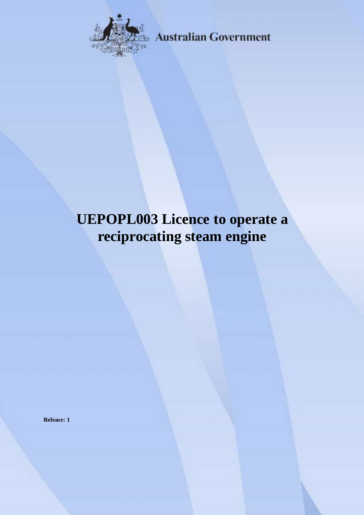

**Australian Government** 

# **UEPOPL003 Licence to operate a reciprocating steam engine**

**Release: 1**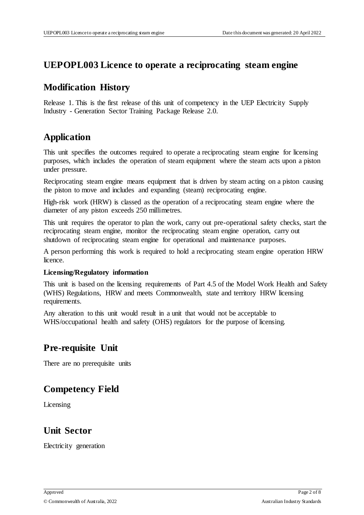#### **UEPOPL003 Licence to operate a reciprocating steam engine**

#### **Modification History**

Release 1. This is the first release of this unit of competency in the UEP Electricity Supply Industry - Generation Sector Training Package Release 2.0.

# **Application**

This unit specifies the outcomes required to operate a reciprocating steam engine for licensing purposes, which includes the operation of steam equipment where the steam acts upon a piston under pressure.

Reciprocating steam engine means equipment that is driven by steam acting on a piston causing the piston to move and includes and expanding (steam) reciprocating engine.

High-risk work (HRW) is classed as the operation of a reciprocating steam engine where the diameter of any piston exceeds 250 millimetres.

This unit requires the operator to plan the work, carry out pre-operational safety checks, start the reciprocating steam engine, monitor the reciprocating steam engine operation, carry out shutdown of reciprocating steam engine for operational and maintenance purposes.

A person performing this work is required to hold a reciprocating steam engine operation HRW licence.

#### **Licensing/Regulatory information**

This unit is based on the licensing requirements of Part 4.5 of the Model Work Health and Safety (WHS) Regulations, HRW and meets Commonwealth, state and territory HRW licensing requirements.

Any alteration to this unit would result in a unit that would not be acceptable to WHS/occupational health and safety (OHS) regulators for the purpose of licensing.

# **Pre-requisite Unit**

There are no prerequisite units

# **Competency Field**

Licensing

### **Unit Sector**

Electricity generation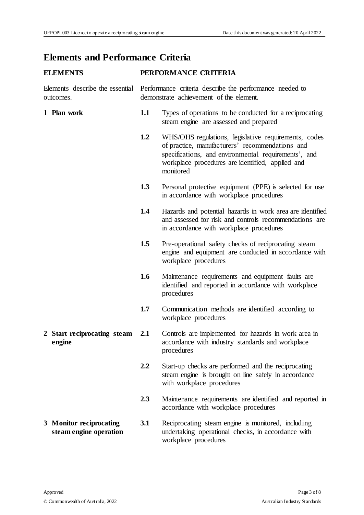#### **Elements and Performance Criteria**

#### **ELEMENTS PERFORMANCE CRITERIA**

Elements describe the essential Performance criteria describe the performance needed to outcomes. demonstrate achievement of the element.

- **1 Plan work 1.1** Types of operations to be conducted for a reciprocating steam engine are assessed and prepared
	- **1.2** WHS/OHS regulations, legislative requirements, codes of practice, manufacturers' recommendations and specifications, and environmental requirements', and workplace procedures are identified, applied and monitored
	- **1.3** Personal protective equipment (PPE) is selected for use in accordance with workplace procedures
	- **1.4** Hazards and potential hazards in work area are identified and assessed for risk and controls recommendations are in accordance with workplace procedures
	- **1.5** Pre-operational safety checks of reciprocating steam engine and equipment are conducted in accordance with workplace procedures
	- **1.6** Maintenance requirements and equipment faults are identified and reported in accordance with workplace procedures
	- **1.7** Communication methods are identified according to workplace procedures
- **2 Start reciprocating steam engine 2.1** Controls are implemented for hazards in work area in accordance with industry standards and workplace procedures
	- **2.2** Start-up checks are performed and the reciprocating steam engine is brought on line safely in accordance with workplace procedures
	- **2.3** Maintenance requirements are identified and reported in accordance with workplace procedures
- **3 Monitor reciprocating steam engine operation 3.1** Reciprocating steam engine is monitored, including undertaking operational checks, in accordance with workplace procedures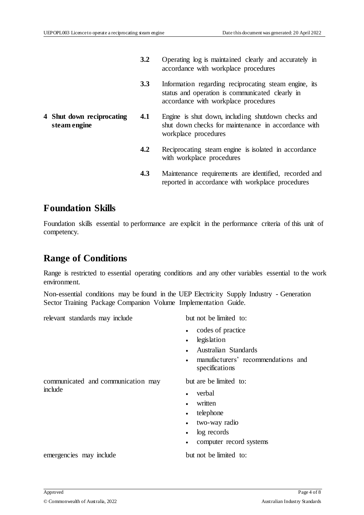- **3.2** Operating log is maintained clearly and accurately in accordance with workplace procedures
- **3.3** Information regarding reciprocating steam engine, its status and operation is communicated clearly in accordance with workplace procedures
- **4 Shut down reciprocating steam engine**
- **4.1** Engine is shut down, including shutdown checks and shut down checks for maintenance in accordance with workplace procedures
	- **4.2** Reciprocating steam engine is isolated in accordance with workplace procedures
	- **4.3** Maintenance requirements are identified, recorded and reported in accordance with workplace procedures

#### **Foundation Skills**

Foundation skills essential to performance are explicit in the performance criteria of this unit of competency.

#### **Range of Conditions**

Range is restricted to essential operating conditions and any other variables essential to the work environment.

Non-essential conditions may be found in the UEP Electricity Supply Industry - Generation Sector Training Package Companion Volume Implementation Guide.

relevant standards may include but not be limited to:

- codes of practice
- legislation
- Australian Standards
- manufacturers' recommendations and specifications

communicated and communication may include

but are be limited to:

- verbal
- written
- telephone
- two-way radio
- log records
- computer record systems

emergencies may include but not be limited to: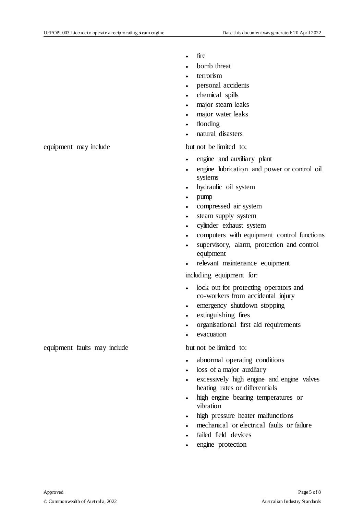- fire
- bomb threat
- terrorism
- personal accidents
- chemical spills
- major steam leaks
- major water leaks
- flooding
- natural disasters

- engine and auxiliary plant
- engine lubrication and power or control oil systems
- hydraulic oil system
- pump
- compressed air system
- steam supply system
- cylinder exhaust system
- computers with equipment control functions
- supervisory, alarm, protection and control equipment
- relevant maintenance equipment

including equipment for:

- lock out for protecting operators and co-workers from accidental injury
- emergency shutdown stopping
- extinguishing fires
- organisational first aid requirements
- evacuation

- abnormal operating conditions
- loss of a major auxiliary
- excessively high engine and engine valves heating rates or differentials
- high engine bearing temperatures or vibration
- high pressure heater malfunctions
- mechanical or electrical faults or failure
- failed field devices
- engine protection

equipment may include but not be limited to:

equipment faults may include but not be limited to: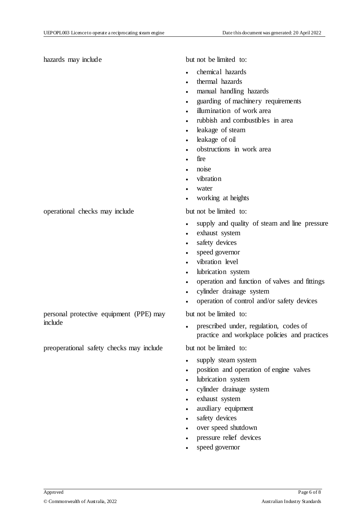hazards may include but not be limited to:

- chemical hazards
- thermal hazards
- manual handling hazards
- guarding of machinery requirements
- illumination of work area
- rubbish and combustibles in area
- leakage of steam
- leakage of oil
- obstructions in work area
- fire
- noise
- vibration
- water
- working at heights

- supply and quality of steam and line pressure
- exhaust system
- safety devices
- speed governor
- vibration level
- lubrication system
- operation and function of valves and fittings
- cylinder drainage system
- operation of control and/or safety devices

but not be limited to:

 prescribed under, regulation, codes of practice and workplace policies and practices

- supply steam system
- position and operation of engine valves
- lubrication system
- cylinder drainage system
- exhaust system
- auxiliary equipment
- safety devices
- over speed shutdown
- pressure relief devices
- speed governor

operational checks may include but not be limited to:

personal protective equipment (PPE) may include

preoperational safety checks may include but not be limited to: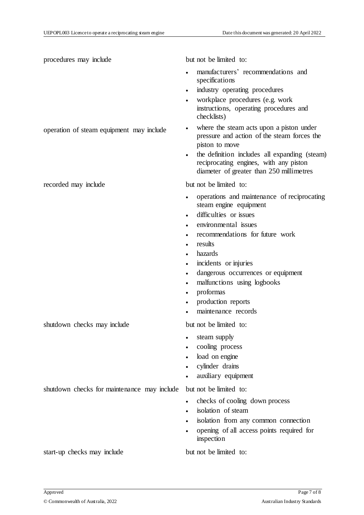procedures may include but not be limited to: manufacturers' recommendations and specifications industry operating procedures workplace procedures (e.g. work instructions, operating procedures and checklists) operation of steam equipment may include  $\bullet$  where the steam acts upon a piston under pressure and action of the steam forces the piston to move • the definition includes all expanding (steam) reciprocating engines, with any piston diameter of greater than 250 millimetres recorded may include but not be limited to: operations and maintenance of reciprocating steam engine equipment difficulties or issues environmental issues recommendations for future work results hazards incidents or injuries dangerous occurrences or equipment malfunctions using logbooks proformas production reports maintenance records shutdown checks may include but not be limited to: steam supply cooling process load on engine cylinder drains auxiliary equipment shutdown checks for maintenance may include but not be limited to: checks of cooling down process isolation of steam isolation from any common connection opening of all access points required for inspection

start-up checks may include but not be limited to: